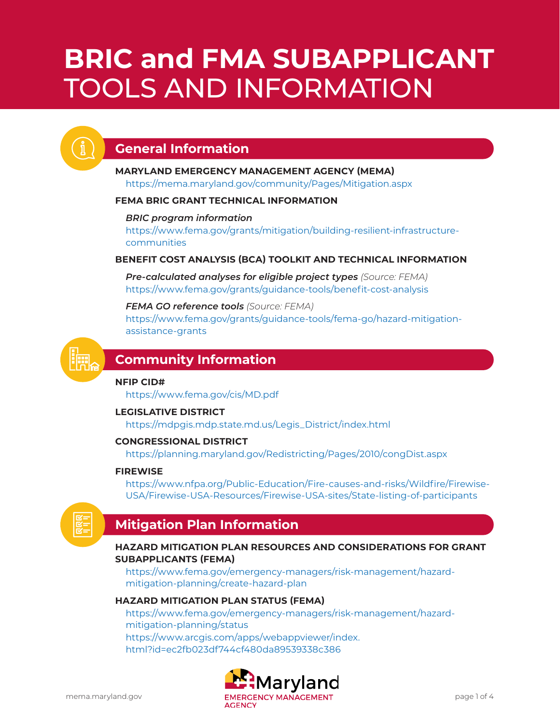# **BRIC and FMA SUBAPPLICANT** TOOLS AND INFORMATION



# **General Information**

# **MARYLAND EMERGENCY MANAGEMENT AGENCY (MEMA)**

<https://mema.maryland.gov/community/Pages/Mitigation.aspx>

## **FEMA BRIC GRANT TECHNICAL INFORMATION**

## *BRIC program information*

[https://www.fema.gov/grants/mitigation/building-resilient-infrastructure](https://www.fema.gov/grants/mitigation/building-resilient-infrastructure-communities)[communities](https://www.fema.gov/grants/mitigation/building-resilient-infrastructure-communities)

## **BENEFIT COST ANALYSIS (BCA) TOOLKIT AND TECHNICAL INFORMATION**

*Pre-calculated analyses for eligible project types (Source: FEMA)* <https://www.fema.gov/grants/guidance-tools/benefit-cost-analysis>

*FEMA GO reference tools (Source: FEMA)* [https://www.fema.gov/grants/guidance-tools/fema-go/hazard-mitigation](https://www.fema.gov/grants/guidance-tools/fema-go/hazard-mitigation-assistance-grants)[assistance-grants](https://www.fema.gov/grants/guidance-tools/fema-go/hazard-mitigation-assistance-grants)



## **Community Information**

## **NFIP CID#**

<https://www.fema.gov/cis/MD.pdf>

## **LEGISLATIVE DISTRICT**

[https://mdpgis.mdp.state.md.us/Legis\\_District/index.html](https://mdpgis.mdp.state.md.us/Legis_District/index.html)

## **CONGRESSIONAL DISTRICT**

<https://planning.maryland.gov/Redistricting/Pages/2010/congDist.aspx>

## **FIREWISE**

[https://www.nfpa.org/Public-Education/Fire-causes-and-risks/Wildfire/Firewise-](https://www.nfpa.org/Public-Education/Fire-causes-and-risks/Wildfire/Firewise-USA/Firewise-USA-Resources/Firewise-USA-sites/State-listing-of-participants)[USA/Firewise-USA-Resources/Firewise-USA-sites/State-listing-of-participants](https://www.nfpa.org/Public-Education/Fire-causes-and-risks/Wildfire/Firewise-USA/Firewise-USA-Resources/Firewise-USA-sites/State-listing-of-participants)



## **Mitigation Plan Information**

## **HAZARD MITIGATION PLAN RESOURCES AND CONSIDERATIONS FOR GRANT SUBAPPLICANTS (FEMA)**

[https://www.fema.gov/emergency-managers/risk-management/hazard](https://www.fema.gov/emergency-managers/risk-management/hazard-mitigation-planning/create-hazard-plan)[mitigation-planning/create-hazard-plan](https://www.fema.gov/emergency-managers/risk-management/hazard-mitigation-planning/create-hazard-plan)

## **HAZARD MITIGATION PLAN STATUS (FEMA)**

[https://www.fema.gov/emergency-managers/risk-management/hazard](https://www.fema.gov/emergency-managers/risk-management/hazard-mitigation-planning/status)[mitigation-planning/status](https://www.fema.gov/emergency-managers/risk-management/hazard-mitigation-planning/status) [https://www.arcgis.com/apps/webappviewer/index.](https://www.arcgis.com/apps/webappviewer/index.html?id=ec2fb023df744cf480da89539338c386) [html?id=ec2fb023df744cf480da89539338c386](https://www.arcgis.com/apps/webappviewer/index.html?id=ec2fb023df744cf480da89539338c386)

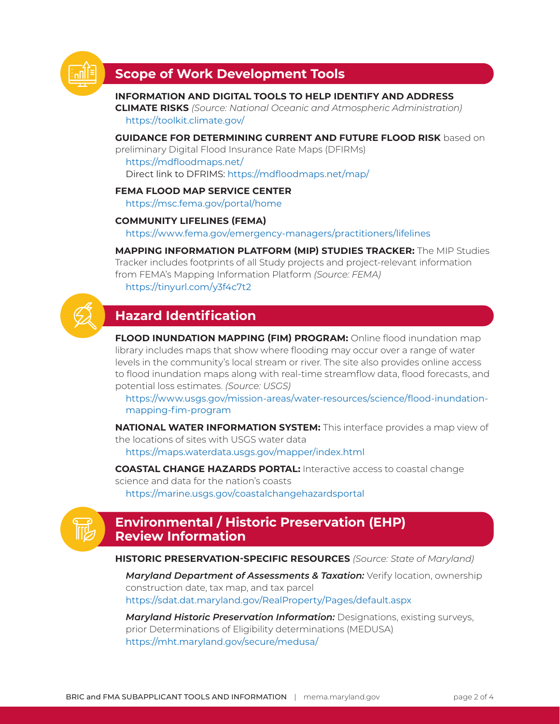

## **Scope of Work Development Tools**

## **INFORMATION AND DIGITAL TOOLS TO HELP IDENTIFY AND ADDRESS**

**CLIMATE RISKS** *(Source: National Oceanic and Atmospheric Administration)* <https://toolkit.climate.gov/>

#### **GUIDANCE FOR DETERMINING CURRENT AND FUTURE FLOOD RISK** based on

preliminary Digital Flood Insurance Rate Maps (DFIRMs) <https://mdfloodmaps.net/> Direct link to DFRIMS: <https://mdfloodmaps.net/map/>

## **FEMA FLOOD MAP SERVICE CENTER**

<https://msc.fema.gov/portal/home>

## **COMMUNITY LIFELINES (FEMA)**

<https://www.fema.gov/emergency-managers/practitioners/lifelines>

**MAPPING INFORMATION PLATFORM (MIP) STUDIES TRACKER:** The MIP Studies Tracker includes footprints of all Study projects and project-relevant information from FEMA's Mapping Information Platform *(Source: FEMA)* <https://tinyurl.com/y3f4c7t2>

## **Hazard Identification**

**FLOOD INUNDATION MAPPING (FIM) PROGRAM:** Online flood inundation map library includes maps that show where flooding may occur over a range of water levels in the community's local stream or river. The site also provides online access to flood inundation maps along with real-time streamflow data, flood forecasts, and potential loss estimates. *(Source: USGS)*

[https://www.usgs.gov/mission-areas/water-resources/science/flood-inundation](https://www.usgs.gov/mission-areas/water-resources/science/flood-inundation-mapping-fim-program)[mapping-fim-program](https://www.usgs.gov/mission-areas/water-resources/science/flood-inundation-mapping-fim-program)

**NATIONAL WATER INFORMATION SYSTEM:** This interface provides a map view of the locations of sites with USGS water data <https://maps.waterdata.usgs.gov/mapper/index.html>

**COASTAL CHANGE HAZARDS PORTAL:** Interactive access to coastal change science and data for the nation's coasts <https://marine.usgs.gov/coastalchangehazardsportal>



## **Environmental / Historic Preservation (EHP) Review Information**

**HISTORIC PRESERVATION-SPECIFIC RESOURCES** *(Source: State of Maryland)*

**Maryland Department of Assessments & Taxation:** Verify location, ownership construction date, tax map, and tax parcel <https://sdat.dat.maryland.gov/RealProperty/Pages/default.aspx>

*Maryland Historic Preservation Information:* Designations, existing surveys, prior Determinations of Eligibility determinations (MEDUSA) <https://mht.maryland.gov/secure/medusa/>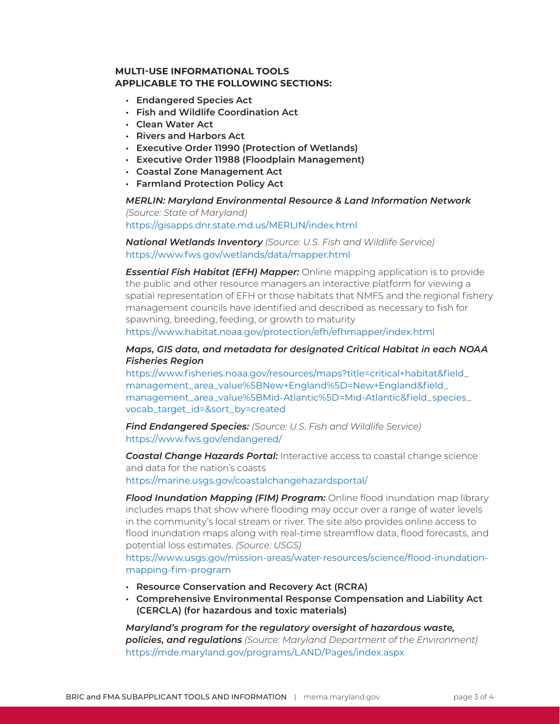## **MULTI-USE INFORMATIONAL TOOLS APPLICABLE TO THE FOLLOWING SECTIONS:**

- **• Endangered Species Act**
- **• Fish and Wildlife Coordination Act**
- **• Clean Water Act**
- **• Rivers and Harbors Act**
- **• Executive Order 11990 (Protection of Wetlands)**
- **• Executive Order 11988 (Floodplain Management)**
- **• Coastal Zone Management Act**
- **• Farmland Protection Policy Act**

#### *MERLIN: Maryland Environmental Resource & Land Information Network (Source: State of Maryland)* <https://gisapps.dnr.state.md.us/MERLIN/index.html>

*National Wetlands Inventory (Source: U.S. Fish and Wildlife Service)* <https://www.fws.gov/wetlands/data/mapper.html>

*Essential Fish Habitat (EFH) Mapper:* Online mapping application is to provide the public and other resource managers an interactive platform for viewing a spatial representation of EFH or those habitats that NMFS and the regional fishery management councils have identified and described as necessary to fish for spawning, breeding, feeding, or growth to maturity <https://www.habitat.noaa.gov/protection/efh/efhmapper/index.html>

## *Maps, GIS data, and metadata for designated Critical Habitat in each NOAA Fisheries Region*

[https://www.fisheries.noaa.gov/resources/maps?title=critical+habitat&field\\_](https://www.fisheries.noaa.gov/resources/maps?title=critical+habitat&field_management_area_value%5BNew+England%5D=New+England&field_management_area_value%5BMid-Atlantic%5D=Mid-Atlantic&field_species_vocab_target_id=&sort_by=created) [management\\_area\\_value%5BNew+England%5D=New+England&field\\_](https://www.fisheries.noaa.gov/resources/maps?title=critical+habitat&field_management_area_value%5BNew+England%5D=New+England&field_management_area_value%5BMid-Atlantic%5D=Mid-Atlantic&field_species_vocab_target_id=&sort_by=created) [management\\_area\\_value%5BMid-Atlantic%5D=Mid-Atlantic&field\\_species\\_](https://www.fisheries.noaa.gov/resources/maps?title=critical+habitat&field_management_area_value%5BNew+England%5D=New+England&field_management_area_value%5BMid-Atlantic%5D=Mid-Atlantic&field_species_vocab_target_id=&sort_by=created) [vocab\\_target\\_id=&sort\\_by=created](https://www.fisheries.noaa.gov/resources/maps?title=critical+habitat&field_management_area_value%5BNew+England%5D=New+England&field_management_area_value%5BMid-Atlantic%5D=Mid-Atlantic&field_species_vocab_target_id=&sort_by=created)

*Find Endangered Species: (Source: U.S. Fish and Wildlife Service)* <https://www.fws.gov/endangered/>

*Coastal Change Hazards Portal:* Interactive access to coastal change science and data for the nation's coasts <https://marine.usgs.gov/coastalchangehazardsportal/>

*Flood Inundation Mapping (FIM) Program: Online flood inundation map library* includes maps that show where flooding may occur over a range of water levels in the community's local stream or river. The site also provides online access to flood inundation maps along with real-time streamflow data, flood forecasts, and potential loss estimates. *(Source: USGS)*

[https://www.usgs.gov/mission-areas/water-resources/science/flood-inundation](https://www.usgs.gov/mission-areas/water-resources/science/flood-inundation-mapping-fim-program)[mapping-fim-program](https://www.usgs.gov/mission-areas/water-resources/science/flood-inundation-mapping-fim-program)

- **• Resource Conservation and Recovery Act (RCRA)**
- **• Comprehensive Environmental Response Compensation and Liability Act (CERCLA) (for hazardous and toxic materials)**

*Maryland's program for the regulatory oversight of hazardous waste, policies, and regulations (Source: Maryland Department of the Environment)* <https://mde.maryland.gov/programs/LAND/Pages/index.aspx>